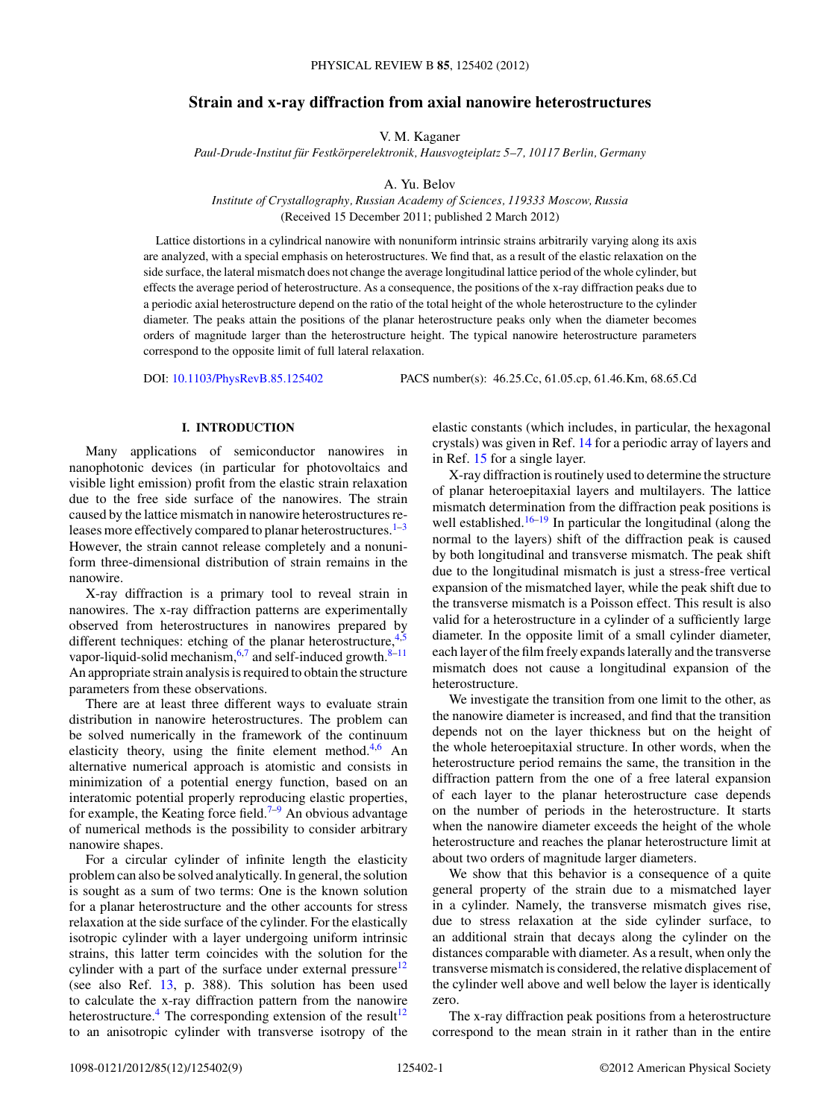# **Strain and x-ray diffraction from axial nanowire heterostructures**

V. M. Kaganer

*Paul-Drude-Institut fur Festk ¨ orperelektronik, Hausvogteiplatz 5–7, 10117 Berlin, Germany ¨*

A. Yu. Belov

*Institute of Crystallography, Russian Academy of Sciences, 119333 Moscow, Russia* (Received 15 December 2011; published 2 March 2012)

Lattice distortions in a cylindrical nanowire with nonuniform intrinsic strains arbitrarily varying along its axis are analyzed, with a special emphasis on heterostructures. We find that, as a result of the elastic relaxation on the side surface, the lateral mismatch does not change the average longitudinal lattice period of the whole cylinder, but effects the average period of heterostructure. As a consequence, the positions of the x-ray diffraction peaks due to a periodic axial heterostructure depend on the ratio of the total height of the whole heterostructure to the cylinder diameter. The peaks attain the positions of the planar heterostructure peaks only when the diameter becomes orders of magnitude larger than the heterostructure height. The typical nanowire heterostructure parameters correspond to the opposite limit of full lateral relaxation.

DOI: [10.1103/PhysRevB.85.125402](http://dx.doi.org/10.1103/PhysRevB.85.125402) PACS number(s): 46*.*25*.*Cc, 61*.*05*.*cp, 61*.*46*.*Km, 68*.*65*.*Cd

## **I. INTRODUCTION**

Many applications of semiconductor nanowires in nanophotonic devices (in particular for photovoltaics and visible light emission) profit from the elastic strain relaxation due to the free side surface of the nanowires. The strain caused by the lattice mismatch in nanowire heterostructures releases more effectively compared to planar heterostructures.<sup>1-3</sup> However, the strain cannot release completely and a nonuniform three-dimensional distribution of strain remains in the nanowire.

X-ray diffraction is a primary tool to reveal strain in nanowires. The x-ray diffraction patterns are experimentally observed from heterostructures in nanowires prepared by different techniques: etching of the planar heterostructure,<sup>4</sup> vapor-liquid-solid mechanism, <sup>6,7</sup> and self-induced growth. <sup>8-11</sup> An appropriate strain analysis is required to obtain the structure parameters from these observations.

There are at least three different ways to evaluate strain distribution in nanowire heterostructures. The problem can be solved numerically in the framework of the continuum elasticity theory, using the finite element method.<sup>4,6</sup> An alternative numerical approach is atomistic and consists in minimization of a potential energy function, based on an interatomic potential properly reproducing elastic properties, for example, the Keating force field.<sup> $7-9$ </sup> An obvious advantage of numerical methods is the possibility to consider arbitrary nanowire shapes.

For a circular cylinder of infinite length the elasticity problem can also be solved analytically. In general, the solution is sought as a sum of two terms: One is the known solution for a planar heterostructure and the other accounts for stress relaxation at the side surface of the cylinder. For the elastically isotropic cylinder with a layer undergoing uniform intrinsic strains, this latter term coincides with the solution for the cylinder with a part of the surface under external pressure $12$ (see also Ref. [13,](#page-8-0) p. 388). This solution has been used to calculate the x-ray diffraction pattern from the nanowire heterostructure.<sup>[4](#page-7-0)</sup> The corresponding extension of the result<sup>12</sup> to an anisotropic cylinder with transverse isotropy of the elastic constants (which includes, in particular, the hexagonal crystals) was given in Ref. [14](#page-8-0) for a periodic array of layers and in Ref. [15](#page-8-0) for a single layer.

X-ray diffraction is routinely used to determine the structure of planar heteroepitaxial layers and multilayers. The lattice mismatch determination from the diffraction peak positions is well established.<sup>[16–19](#page-8-0)</sup> In particular the longitudinal (along the normal to the layers) shift of the diffraction peak is caused by both longitudinal and transverse mismatch. The peak shift due to the longitudinal mismatch is just a stress-free vertical expansion of the mismatched layer, while the peak shift due to the transverse mismatch is a Poisson effect. This result is also valid for a heterostructure in a cylinder of a sufficiently large diameter. In the opposite limit of a small cylinder diameter, each layer of the film freely expands laterally and the transverse mismatch does not cause a longitudinal expansion of the heterostructure.

We investigate the transition from one limit to the other, as the nanowire diameter is increased, and find that the transition depends not on the layer thickness but on the height of the whole heteroepitaxial structure. In other words, when the heterostructure period remains the same, the transition in the diffraction pattern from the one of a free lateral expansion of each layer to the planar heterostructure case depends on the number of periods in the heterostructure. It starts when the nanowire diameter exceeds the height of the whole heterostructure and reaches the planar heterostructure limit at about two orders of magnitude larger diameters.

We show that this behavior is a consequence of a quite general property of the strain due to a mismatched layer in a cylinder. Namely, the transverse mismatch gives rise, due to stress relaxation at the side cylinder surface, to an additional strain that decays along the cylinder on the distances comparable with diameter. As a result, when only the transverse mismatch is considered, the relative displacement of the cylinder well above and well below the layer is identically zero.

The x-ray diffraction peak positions from a heterostructure correspond to the mean strain in it rather than in the entire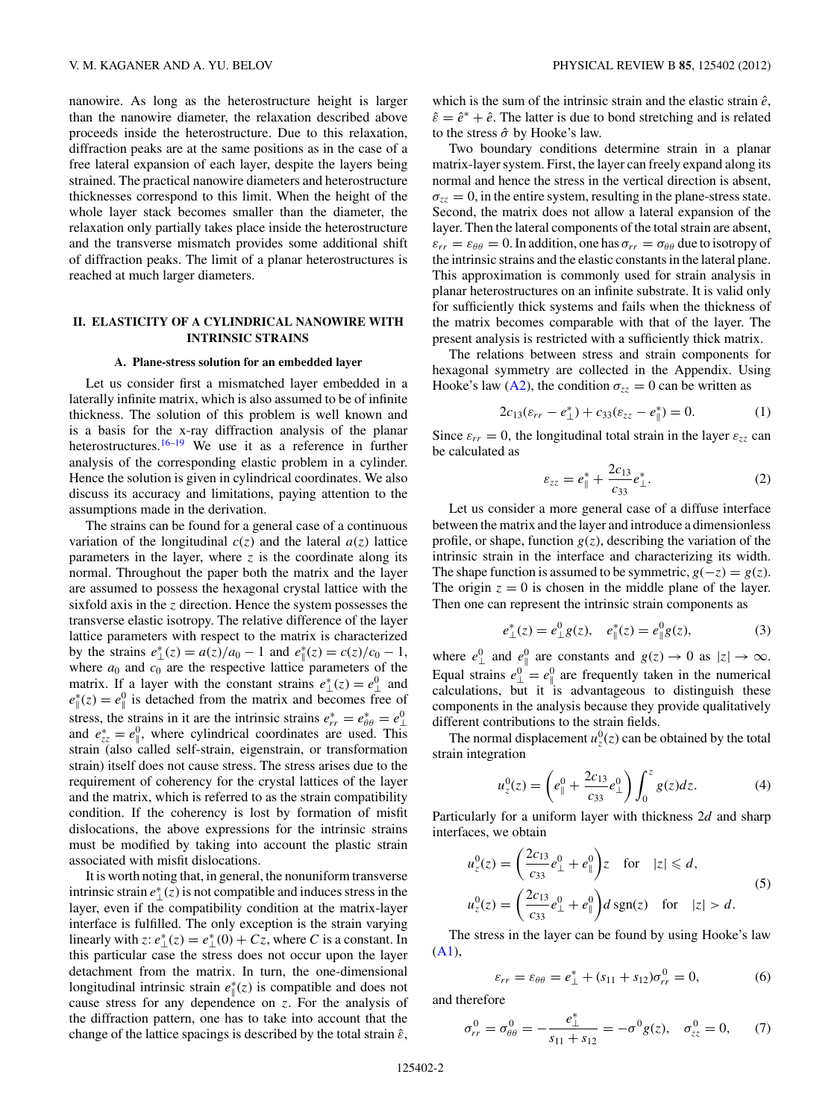<span id="page-1-0"></span>nanowire. As long as the heterostructure height is larger than the nanowire diameter, the relaxation described above proceeds inside the heterostructure. Due to this relaxation, diffraction peaks are at the same positions as in the case of a free lateral expansion of each layer, despite the layers being strained. The practical nanowire diameters and heterostructure thicknesses correspond to this limit. When the height of the whole layer stack becomes smaller than the diameter, the relaxation only partially takes place inside the heterostructure and the transverse mismatch provides some additional shift of diffraction peaks. The limit of a planar heterostructures is reached at much larger diameters.

# **II. ELASTICITY OF A CYLINDRICAL NANOWIRE WITH INTRINSIC STRAINS**

### **A. Plane-stress solution for an embedded layer**

Let us consider first a mismatched layer embedded in a laterally infinite matrix, which is also assumed to be of infinite thickness. The solution of this problem is well known and is a basis for the x-ray diffraction analysis of the planar heterostructures.<sup>[16–19](#page-8-0)</sup> We use it as a reference in further analysis of the corresponding elastic problem in a cylinder. Hence the solution is given in cylindrical coordinates. We also discuss its accuracy and limitations, paying attention to the assumptions made in the derivation.

The strains can be found for a general case of a continuous variation of the longitudinal  $c(z)$  and the lateral  $a(z)$  lattice parameters in the layer, where  $z$  is the coordinate along its normal. Throughout the paper both the matrix and the layer are assumed to possess the hexagonal crystal lattice with the sixfold axis in the *z* direction. Hence the system possesses the transverse elastic isotropy. The relative difference of the layer lattice parameters with respect to the matrix is characterized by the strains  $e^*_{\perp}(z) = a(z)/a_0 - 1$  and  $e^*_{\parallel}(z) = c(z)/c_0 - 1$ , where  $a_0$  and  $c_0$  are the respective lattice parameters of the matrix. If a layer with the constant strains  $e^*_{\perp}(z) = e^0_{\perp}$  and  $e^*_{\parallel}(z) = e^0_{\parallel}$  is detached from the matrix and becomes free of stress, the strains in it are the intrinsic strains  $e_{rr}^* = e_{\theta\theta}^* = e_{\perp}^0$  and  $e_{zz}^* = e_{\parallel}^0$ , where cylindrical coordinates are used. This strain (also called self-strain, eigenstrain, or transformation strain) itself does not cause stress. The stress arises due to the requirement of coherency for the crystal lattices of the layer and the matrix, which is referred to as the strain compatibility condition. If the coherency is lost by formation of misfit dislocations, the above expressions for the intrinsic strains must be modified by taking into account the plastic strain associated with misfit dislocations.

It is worth noting that, in general, the nonuniform transverse intrinsic strain  $e^*_{\perp}(z)$  is not compatible and induces stress in the layer, even if the compatibility condition at the matrix-layer interface is fulfilled. The only exception is the strain varying linearly with  $z: e^*_{\perp}(z) = e^*_{\perp}(0) + Cz$ , where *C* is a constant. In this particular case the stress does not occur upon the layer detachment from the matrix. In turn, the one-dimensional longitudinal intrinsic strain  $e^*_{\parallel}(z)$  is compatible and does not cause stress for any dependence on *z*. For the analysis of the diffraction pattern, one has to take into account that the change of the lattice spacings is described by the total strain ˆ*ε*,

which is the sum of the intrinsic strain and the elastic strain  $\hat{e}$ ,  $\hat{\epsilon} = \hat{e}^* + \hat{e}$ . The latter is due to bond stretching and is related to the stress  $\hat{\sigma}$  by Hooke's law.

Two boundary conditions determine strain in a planar matrix-layer system. First, the layer can freely expand along its normal and hence the stress in the vertical direction is absent,  $\sigma_{zz} = 0$ , in the entire system, resulting in the plane-stress state. Second, the matrix does not allow a lateral expansion of the layer. Then the lateral components of the total strain are absent,  $\varepsilon_{rr} = \varepsilon_{\theta\theta} = 0$ . In addition, one has  $\sigma_{rr} = \sigma_{\theta\theta}$  due to isotropy of the intrinsic strains and the elastic constants in the lateral plane. This approximation is commonly used for strain analysis in planar heterostructures on an infinite substrate. It is valid only for sufficiently thick systems and fails when the thickness of the matrix becomes comparable with that of the layer. The present analysis is restricted with a sufficiently thick matrix.

The relations between stress and strain components for hexagonal symmetry are collected in the Appendix. Using Hooke's law [\(A2\)](#page-6-0), the condition  $\sigma_{zz} = 0$  can be written as

$$
2c_{13}(\varepsilon_{rr} - e_{\perp}^*) + c_{33}(\varepsilon_{zz} - e_{\parallel}^*) = 0.
$$
 (1)

Since  $\varepsilon_{rr} = 0$ , the longitudinal total strain in the layer  $\varepsilon_{zz}$  can be calculated as

$$
\varepsilon_{zz} = e_{\parallel}^* + \frac{2c_{13}}{c_{33}} e_{\perp}^*.
$$
 (2)

Let us consider a more general case of a diffuse interface between the matrix and the layer and introduce a dimensionless profile, or shape, function  $g(z)$ , describing the variation of the intrinsic strain in the interface and characterizing its width. The shape function is assumed to be symmetric,  $g(-z) = g(z)$ . The origin  $z = 0$  is chosen in the middle plane of the layer. Then one can represent the intrinsic strain components as

$$
e_{\perp}^*(z) = e_{\perp}^0 g(z), \quad e_{\parallel}^*(z) = e_{\parallel}^0 g(z),
$$
 (3)

where  $e_{\perp}^{0}$  and  $e_{\parallel}^{0}$  are constants and  $g(z) \rightarrow 0$  as  $|z| \rightarrow \infty$ . Equal strains  $e_{\perp}^0 = e_{\parallel}^0$  are frequently taken in the numerical calculations, but it is advantageous to distinguish these components in the analysis because they provide qualitatively different contributions to the strain fields.

The normal displacement  $u_z^0(z)$  can be obtained by the total strain integration

$$
u_z^0(z) = \left(e_{\parallel}^0 + \frac{2c_{13}}{c_{33}}e_{\perp}^0\right) \int_0^z g(z)dz.
$$
 (4)

Particularly for a uniform layer with thickness 2*d* and sharp interfaces, we obtain

$$
u_z^0(z) = \left(\frac{2c_{13}}{c_{33}}e_{\perp}^0 + e_{\parallel}^0\right)z \quad \text{for} \quad |z| \leq d,
$$
  

$$
u_z^0(z) = \left(\frac{2c_{13}}{c_{33}}e_{\perp}^0 + e_{\parallel}^0\right)dz \text{ sgn}(z) \quad \text{for} \quad |z| > d.
$$
 (5)

The stress in the layer can be found by using Hooke's law [\(A1\)](#page-6-0),

$$
\varepsilon_{rr} = \varepsilon_{\theta\theta} = e^*_{\perp} + (s_{11} + s_{12})\sigma_{rr}^0 = 0, \tag{6}
$$

and therefore

$$
\sigma_{rr}^0 = \sigma_{\theta\theta}^0 = -\frac{e_{\perp}^*}{s_{11} + s_{12}} = -\sigma^0 g(z), \quad \sigma_{zz}^0 = 0, \qquad (7)
$$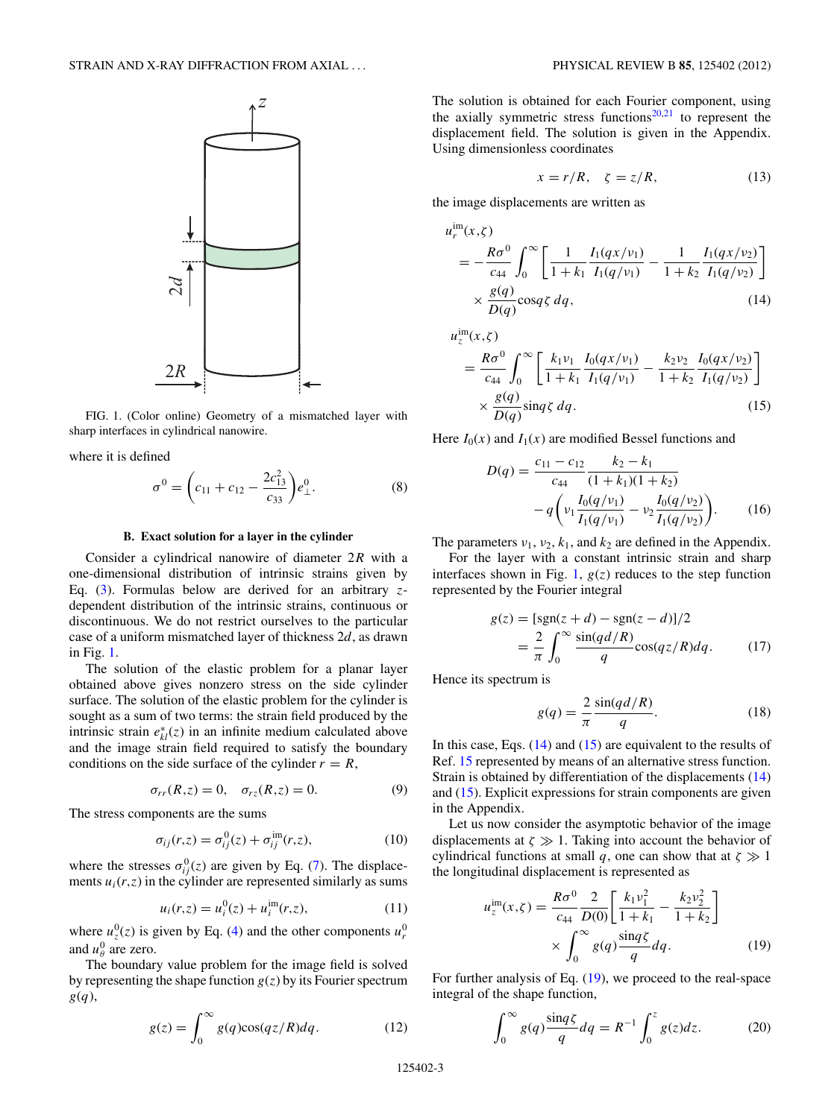<span id="page-2-0"></span>

FIG. 1. (Color online) Geometry of a mismatched layer with sharp interfaces in cylindrical nanowire.

where it is defined

$$
\sigma^0 = \left(c_{11} + c_{12} - \frac{2c_{13}^2}{c_{33}}\right) e_{\perp}^0.
$$
 (8)

## **B. Exact solution for a layer in the cylinder**

Consider a cylindrical nanowire of diameter 2*R* with a one-dimensional distribution of intrinsic strains given by Eq. [\(3\)](#page-1-0). Formulas below are derived for an arbitrary *z*dependent distribution of the intrinsic strains, continuous or discontinuous. We do not restrict ourselves to the particular case of a uniform mismatched layer of thickness 2*d*, as drawn in Fig. 1.

The solution of the elastic problem for a planar layer obtained above gives nonzero stress on the side cylinder surface. The solution of the elastic problem for the cylinder is sought as a sum of two terms: the strain field produced by the intrinsic strain  $e_{kl}^*(z)$  in an infinite medium calculated above and the image strain field required to satisfy the boundary conditions on the side surface of the cylinder  $r = R$ ,

$$
\sigma_{rr}(R,z) = 0, \quad \sigma_{rz}(R,z) = 0. \tag{9}
$$

The stress components are the sums

$$
\sigma_{ij}(r,z) = \sigma_{ij}^0(z) + \sigma_{ij}^{\text{im}}(r,z), \qquad (10)
$$

where the stresses  $\sigma_{ij}^0(z)$  are given by Eq. [\(7\)](#page-1-0). The displacements  $u_i(r, z)$  in the cylinder are represented similarly as sums

$$
u_i(r,z) = u_i^0(z) + u_i^{\text{im}}(r,z),
$$
 (11)

where  $u_z^0(z)$  is given by Eq. [\(4\)](#page-1-0) and the other components  $u_r^0$ and  $u_{\theta}^0$  are zero.

The boundary value problem for the image field is solved by representing the shape function  $g(z)$  by its Fourier spectrum *g*(*q*),

$$
g(z) = \int_0^\infty g(q)\cos(qz/R)dq.
$$
 (12)

The solution is obtained for each Fourier component, using the axially symmetric stress functions<sup>20,21</sup> to represent the displacement field. The solution is given in the Appendix. Using dimensionless coordinates

$$
x = r/R, \quad \zeta = z/R,\tag{13}
$$

the image displacements are written as

$$
u_r^{\text{im}}(x,\zeta)
$$
  
=  $-\frac{R\sigma^0}{c_{44}} \int_0^\infty \left[ \frac{1}{1+k_1} \frac{I_1(qx/v_1)}{I_1(q/v_1)} - \frac{1}{1+k_2} \frac{I_1(qx/v_2)}{I_1(q/v_2)} \right]$   
 $\times \frac{g(q)}{D(q)} \cos q \zeta dq,$  (14)

$$
u_z^{\text{im}}(x,\zeta)
$$
  
=  $\frac{R\sigma^0}{c_{44}} \int_0^\infty \left[ \frac{k_1v_1}{1+k_1} \frac{I_0}{I_1} \right]$ 

$$
= \frac{R\sigma^0}{c_{44}} \int_0^\infty \left[ \frac{k_1 v_1}{1 + k_1} \frac{I_0(qx/v_1)}{I_1(q/v_1)} - \frac{k_2 v_2}{1 + k_2} \frac{I_0(qx/v_2)}{I_1(q/v_2)} \right] \times \frac{g(q)}{D(q)} \text{sing }\zeta \, dq. \tag{15}
$$

Here  $I_0(x)$  and  $I_1(x)$  are modified Bessel functions and

$$
D(q) = \frac{c_{11} - c_{12}}{c_{44}} \frac{k_2 - k_1}{(1 + k_1)(1 + k_2)} - q \left( v_1 \frac{I_0(q/v_1)}{I_1(q/v_1)} - v_2 \frac{I_0(q/v_2)}{I_1(q/v_2)} \right).
$$
 (16)

The parameters  $v_1$ ,  $v_2$ ,  $k_1$ , and  $k_2$  are defined in the Appendix.

For the layer with a constant intrinsic strain and sharp interfaces shown in Fig. 1,  $g(z)$  reduces to the step function represented by the Fourier integral

$$
g(z) = \left[\operatorname{sgn}(z+d) - \operatorname{sgn}(z-d)\right]/2
$$

$$
= \frac{2}{\pi} \int_0^\infty \frac{\sin(qd/R)}{q} \cos(qz/R) dq. \tag{17}
$$

Hence its spectrum is

$$
g(q) = \frac{2}{\pi} \frac{\sin(qd/R)}{q}.
$$
 (18)

In this case, Eqs.  $(14)$  and  $(15)$  are equivalent to the results of Ref. [15](#page-8-0) represented by means of an alternative stress function. Strain is obtained by differentiation of the displacements (14) and (15). Explicit expressions for strain components are given in the Appendix.

Let us now consider the asymptotic behavior of the image displacements at  $\zeta \gg 1$ . Taking into account the behavior of cylindrical functions at small *q*, one can show that at  $\zeta \gg 1$ the longitudinal displacement is represented as

$$
u_z^{\text{im}}(x,\zeta) = \frac{R\sigma^0}{c_{44}} \frac{2}{D(0)} \left[ \frac{k_1 v_1^2}{1+k_1} - \frac{k_2 v_2^2}{1+k_2} \right] \times \int_0^\infty g(q) \frac{\sin q\zeta}{q} dq.
$$
 (19)

For further analysis of Eq. (19), we proceed to the real-space integral of the shape function,

$$
\int_0^\infty g(q)\frac{\sin q\xi}{q}dq = R^{-1}\int_0^z g(z)dz.
$$
 (20)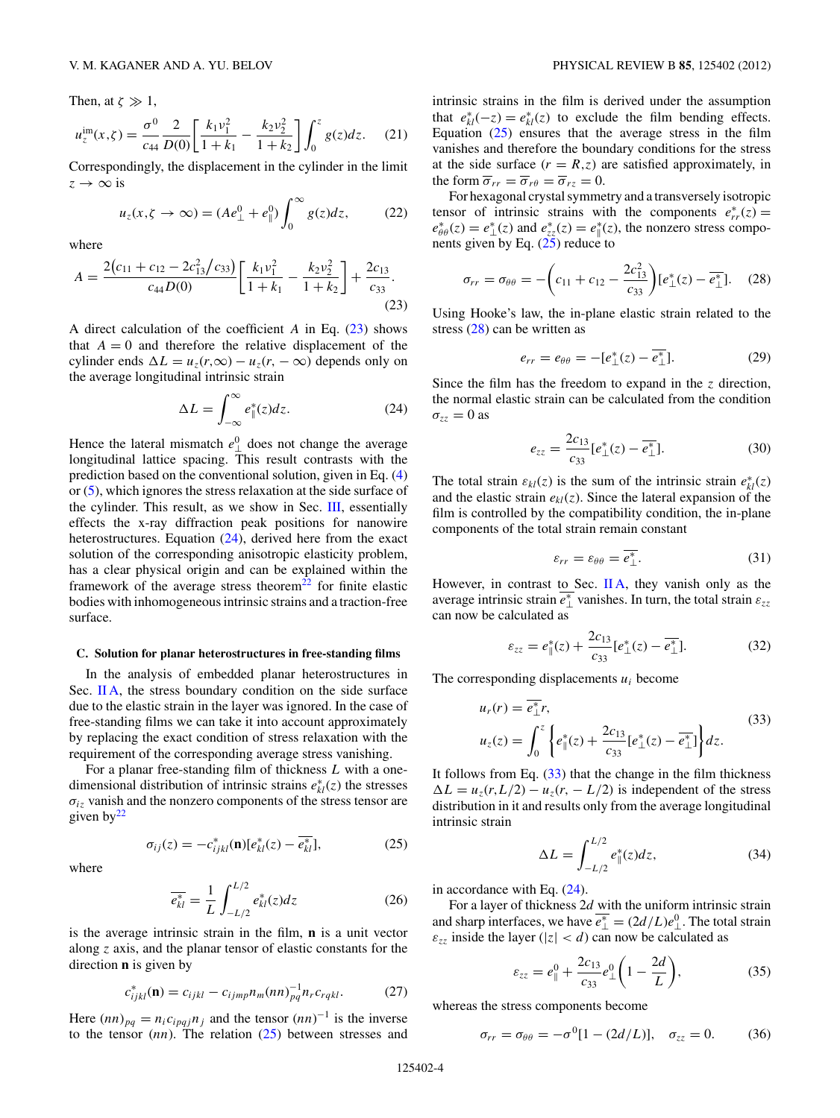<span id="page-3-0"></span>Then, at  $\zeta \gg 1$ ,

$$
u_z^{\text{im}}(x,\zeta) = \frac{\sigma^0}{c_{44}} \frac{2}{D(0)} \left[ \frac{k_1 v_1^2}{1+k_1} - \frac{k_2 v_2^2}{1+k_2} \right] \int_0^z g(z) dz. \tag{21}
$$

Correspondingly, the displacement in the cylinder in the limit  $z \rightarrow \infty$  is

$$
u_z(x,\zeta \to \infty) = (Ae_{\perp}^0 + e_{\parallel}^0) \int_0^{\infty} g(z)dz, \qquad (22)
$$

<sup>∞</sup>

where

$$
A = \frac{2(c_{11} + c_{12} - 2c_{13}^2/c_{33})}{c_{44}D(0)} \left[ \frac{k_1v_1^2}{1+k_1} - \frac{k_2v_2^2}{1+k_2} \right] + \frac{2c_{13}}{c_{33}}.
$$
\n(23)

A direct calculation of the coefficient *A* in Eq. (23) shows that  $A = 0$  and therefore the relative displacement of the cylinder ends  $\Delta L = u_z(r, \infty) - u_z(r, -\infty)$  depends only on the average longitudinal intrinsic strain

$$
\Delta L = \int_{-\infty}^{\infty} e_{\parallel}^{*}(z) dz.
$$
 (24)

Hence the lateral mismatch  $e_{\perp}^0$  does not change the average longitudinal lattice spacing. This result contrasts with the prediction based on the conventional solution, given in Eq. [\(4\)](#page-1-0) or [\(5\)](#page-1-0), which ignores the stress relaxation at the side surface of the cylinder. This result, as we show in Sec. [III,](#page-4-0) essentially effects the x-ray diffraction peak positions for nanowire heterostructures. Equation (24), derived here from the exact solution of the corresponding anisotropic elasticity problem, has a clear physical origin and can be explained within the framework of the average stress theorem<sup>[22](#page-8-0)</sup> for finite elastic bodies with inhomogeneous intrinsic strains and a traction-free surface.

### **C. Solution for planar heterostructures in free-standing films**

In the analysis of embedded planar heterostructures in Sec. [II A,](#page-1-0) the stress boundary condition on the side surface due to the elastic strain in the layer was ignored. In the case of free-standing films we can take it into account approximately by replacing the exact condition of stress relaxation with the requirement of the corresponding average stress vanishing.

For a planar free-standing film of thickness *L* with a onedimensional distribution of intrinsic strains  $e_{kl}^*(z)$  the stresses *σiz* vanish and the nonzero components of the stress tensor are given  $bv^{22}$ 

$$
\sigma_{ij}(z) = -c_{ijkl}^*(\mathbf{n}) [e_{kl}^*(z) - \overline{e_{kl}^*}], \tag{25}
$$

where

$$
\overline{e_{kl}^*} = \frac{1}{L} \int_{-L/2}^{L/2} e_{kl}^*(z) dz
$$
 (26)

is the average intrinsic strain in the film, **n** is a unit vector along *z* axis, and the planar tensor of elastic constants for the direction **n** is given by

$$
c_{ijkl}^*(\mathbf{n}) = c_{ijkl} - c_{ijmp}n_m(nn)_{pq}^{-1}n_r c_{rqkl}.\tag{27}
$$

Here  $(nn)_{pq} = n_i c_{ipqj} n_j$  and the tensor  $(nn)^{-1}$  is the inverse to the tensor (*nn*). The relation (25) between stresses and intrinsic strains in the film is derived under the assumption that  $e_{kl}^*$ (−*z*) =  $e_{kl}^*$ (*z*) to exclude the film bending effects. Equation  $(25)$  ensures that the average stress in the film vanishes and therefore the boundary conditions for the stress at the side surface  $(r = R, z)$  are satisfied approximately, in the form  $\overline{\sigma}_{rr} = \overline{\sigma}_{r\theta} = \overline{\sigma}_{rz} = 0.$ 

For hexagonal crystal symmetry and a transversely isotropic tensor of intrinsic strains with the components  $e_{rr}^*(z) =$  $e^*_{\theta\theta}(z) = e^*_{\perp}(z)$  and  $e^*_{z}(z) = e^*_{\parallel}(z)$ , the nonzero stress components given by Eq. (25) reduce to

$$
\sigma_{rr} = \sigma_{\theta\theta} = -\left(c_{11} + c_{12} - \frac{2c_{13}^2}{c_{33}}\right)[e_{\perp}^*(z) - \overline{e_{\perp}^*}].
$$
 (28)

Using Hooke's law, the in-plane elastic strain related to the stress (28) can be written as

$$
e_{rr} = e_{\theta\theta} = -[e_{\perp}^{*}(z) - \overline{e_{\perp}^{*}}].
$$
 (29)

Since the film has the freedom to expand in the *z* direction, the normal elastic strain can be calculated from the condition  $\sigma_{zz} = 0$  as

$$
e_{zz} = \frac{2c_{13}}{c_{33}} [e_{\perp}^*(z) - \overline{e_{\perp}^*}]. \tag{30}
$$

The total strain  $\varepsilon_{kl}(z)$  is the sum of the intrinsic strain  $e_{kl}^*(z)$ and the elastic strain  $e_{kl}(z)$ . Since the lateral expansion of the film is controlled by the compatibility condition, the in-plane components of the total strain remain constant

$$
\varepsilon_{rr} = \varepsilon_{\theta\theta} = \overline{e^*_{\perp}}.
$$
 (31)

However, in contrast to Sec. IIA, they vanish only as the average intrinsic strain *e*<sup>∗</sup> <sup>⊥</sup> vanishes. In turn, the total strain *εzz* can now be calculated as

$$
\varepsilon_{zz} = e_{\parallel}^*(z) + \frac{2c_{13}}{c_{33}} [e_{\perp}^*(z) - \overline{e_{\perp}^*}]. \tag{32}
$$

The corresponding displacements  $u_i$  become

$$
u_r(r) = \overline{e_{\perp}^*} r,
$$
  
\n
$$
u_z(z) = \int_0^z \left\{ e_{\parallel}^*(z) + \frac{2c_{13}}{c_{33}} [e_{\perp}^*(z) - \overline{e_{\perp}^*}] \right\} dz.
$$
\n(33)

It follows from Eq.  $(33)$  that the change in the film thickness  $\Delta L = u_z(r, L/2) - u_z(r, -L/2)$  is independent of the stress distribution in it and results only from the average longitudinal intrinsic strain

$$
\Delta L = \int_{-L/2}^{L/2} e_{\parallel}^{*}(z) dz,
$$
\n(34)

in accordance with Eq. (24).

For a layer of thickness 2*d* with the uniform intrinsic strain and sharp interfaces, we have  $\overline{e_{\perp}^*} = (2d/L)e_{\perp}^0$ . The total strain  $\varepsilon_{zz}$  inside the layer ( $|z| < d$ ) can now be calculated as

$$
\varepsilon_{zz} = e_{\parallel}^0 + \frac{2c_{13}}{c_{33}} e_{\perp}^0 \left( 1 - \frac{2d}{L} \right),\tag{35}
$$

whereas the stress components become

$$
\sigma_{rr} = \sigma_{\theta\theta} = -\sigma^0[1 - (2d/L)], \quad \sigma_{zz} = 0. \tag{36}
$$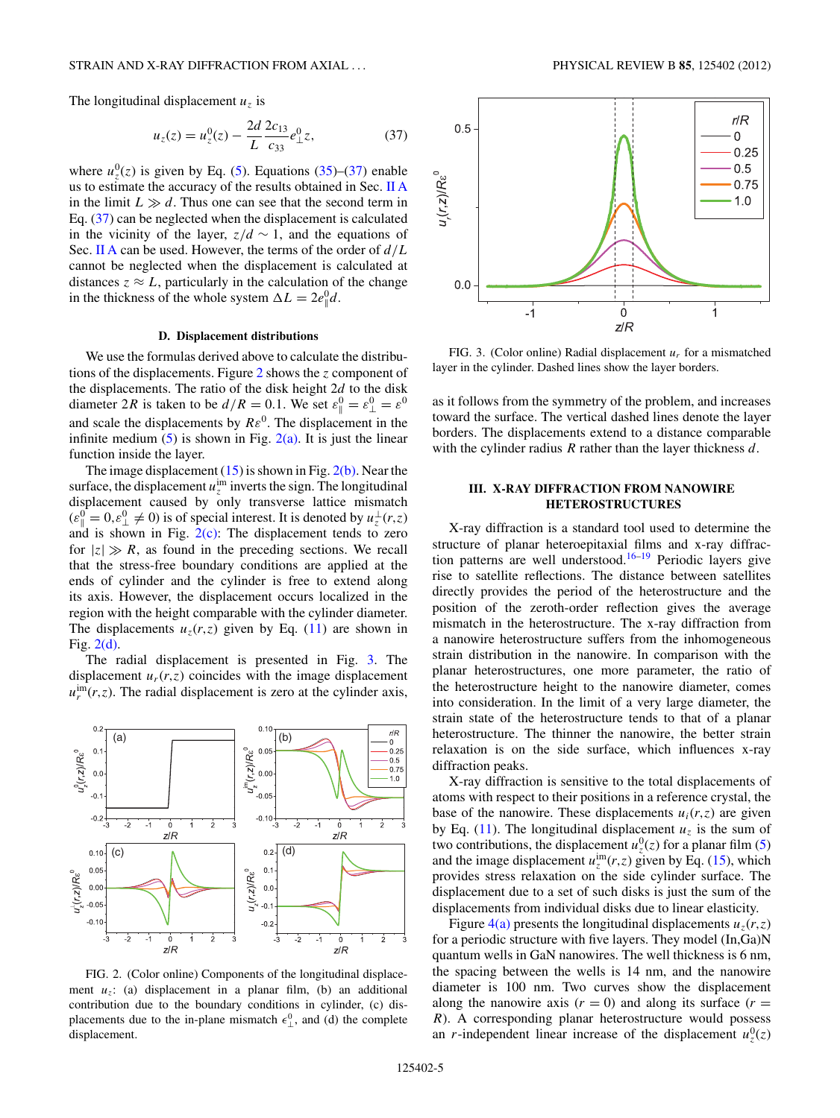<span id="page-4-0"></span>The longitudinal displacement  $u<sub>z</sub>$  is

$$
u_z(z) = u_z^0(z) - \frac{2d}{L} \frac{2c_{13}}{c_{33}} e_{\perp}^0 z,\tag{37}
$$

where  $u_z^0(z)$  is given by Eq. [\(5\)](#page-1-0). Equations [\(35\)](#page-3-0)–(37) enable us to estimate the accuracy of the results obtained in Sec. [II A](#page-1-0) in the limit  $L \gg d$ . Thus one can see that the second term in Eq. (37) can be neglected when the displacement is calculated in the vicinity of the layer,  $z/d \sim 1$ , and the equations of Sec. [II A](#page-1-0) can be used. However, the terms of the order of *d/L* cannot be neglected when the displacement is calculated at distances  $z \approx L$ , particularly in the calculation of the change in the thickness of the whole system  $\Delta L = 2e_{\parallel}^0 d$ .

### **D. Displacement distributions**

We use the formulas derived above to calculate the distributions of the displacements. Figure 2 shows the *z* component of the displacements. The ratio of the disk height 2*d* to the disk diameter 2*R* is taken to be  $d/R = 0.1$ . We set  $\varepsilon_{\parallel}^0 = \varepsilon_{\perp}^0 = \varepsilon^0$ and scale the displacements by  $Re^0$ . The displacement in the infinite medium  $(5)$  is shown in Fig.  $2(a)$ . It is just the linear function inside the layer.

The image displacement  $(15)$  is shown in Fig.  $2(b)$ . Near the surface, the displacement  $u_z^{\text{im}}$  inverts the sign. The longitudinal displacement caused by only transverse lattice mismatch  $(\varepsilon_{\parallel}^0 = 0, \varepsilon_{\perp}^0 \neq 0)$  is of special interest. It is denoted by  $u_z^{\perp}(r, z)$ and is shown in Fig.  $2(c)$ : The displacement tends to zero for  $|z| \gg R$ , as found in the preceding sections. We recall that the stress-free boundary conditions are applied at the ends of cylinder and the cylinder is free to extend along its axis. However, the displacement occurs localized in the region with the height comparable with the cylinder diameter. The displacements  $u_7(r,z)$  given by Eq. [\(11\)](#page-2-0) are shown in Fig. 2(d).

The radial displacement is presented in Fig. 3. The displacement  $u_r(r, z)$  coincides with the image displacement  $u_r^{\text{im}}(r, z)$ . The radial displacement is zero at the cylinder axis,



FIG. 2. (Color online) Components of the longitudinal displacement  $u_z$ : (a) displacement in a planar film, (b) an additional contribution due to the boundary conditions in cylinder, (c) displacements due to the in-plane mismatch  $\epsilon_{\perp}^0$ , and (d) the complete displacement.



FIG. 3. (Color online) Radial displacement  $u_r$  for a mismatched layer in the cylinder. Dashed lines show the layer borders.

as it follows from the symmetry of the problem, and increases toward the surface. The vertical dashed lines denote the layer borders. The displacements extend to a distance comparable with the cylinder radius *R* rather than the layer thickness *d*.

# **III. X-RAY DIFFRACTION FROM NANOWIRE HETEROSTRUCTURES**

X-ray diffraction is a standard tool used to determine the structure of planar heteroepitaxial films and x-ray diffraction patterns are well understood.<sup>16–19</sup> Periodic layers give rise to satellite reflections. The distance between satellites directly provides the period of the heterostructure and the position of the zeroth-order reflection gives the average mismatch in the heterostructure. The x-ray diffraction from a nanowire heterostructure suffers from the inhomogeneous strain distribution in the nanowire. In comparison with the planar heterostructures, one more parameter, the ratio of the heterostructure height to the nanowire diameter, comes into consideration. In the limit of a very large diameter, the strain state of the heterostructure tends to that of a planar heterostructure. The thinner the nanowire, the better strain relaxation is on the side surface, which influences x-ray diffraction peaks.

X-ray diffraction is sensitive to the total displacements of atoms with respect to their positions in a reference crystal, the base of the nanowire. These displacements  $u_i(r, z)$  are given by Eq. [\(11\)](#page-2-0). The longitudinal displacement  $u<sub>z</sub>$  is the sum of two contributions, the displacement  $u_z^0(z)$  for a planar film [\(5\)](#page-1-0) and the image displacement  $u_z^{\text{im}}(r, z)$  given by Eq. [\(15\)](#page-2-0), which provides stress relaxation on the side cylinder surface. The displacement due to a set of such disks is just the sum of the displacements from individual disks due to linear elasticity.

Figure  $4(a)$  presents the longitudinal displacements  $u_z(r, z)$ for a periodic structure with five layers. They model (In,Ga)N quantum wells in GaN nanowires. The well thickness is 6 nm, the spacing between the wells is 14 nm, and the nanowire diameter is 100 nm. Two curves show the displacement along the nanowire axis  $(r = 0)$  and along its surface  $(r = 1)$ *R*). A corresponding planar heterostructure would possess an *r*-independent linear increase of the displacement  $u_z^0(z)$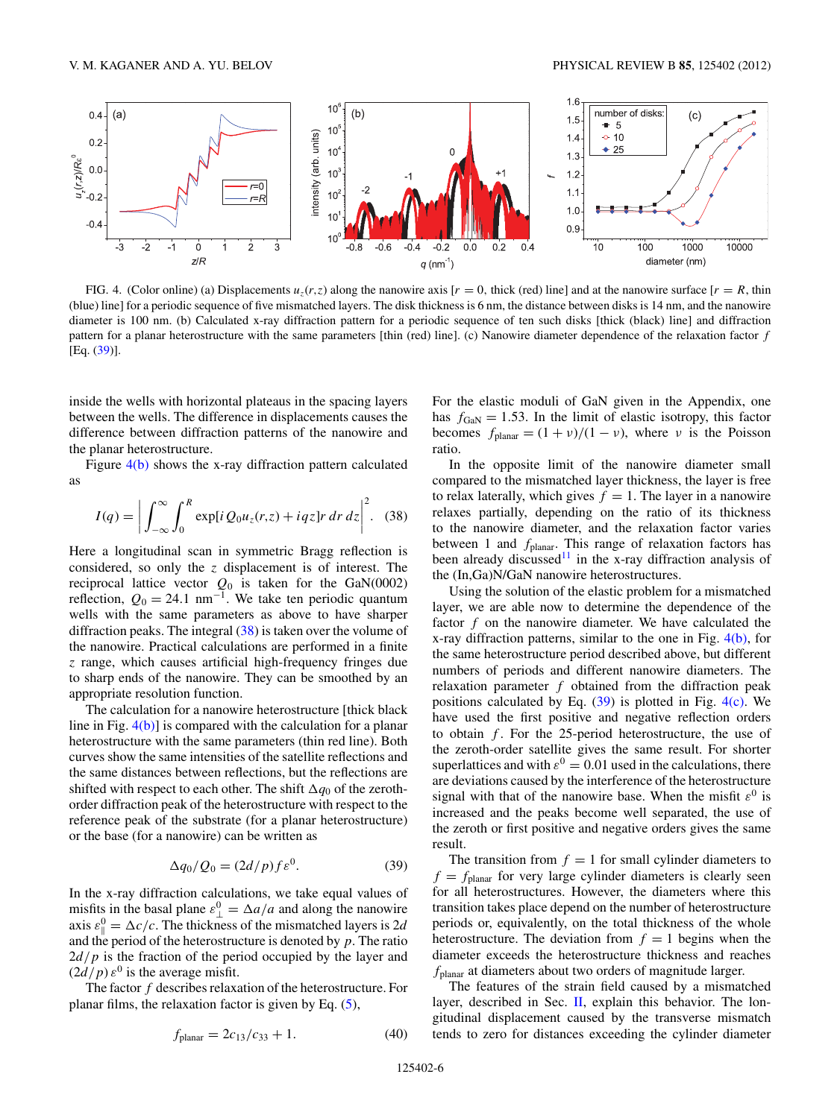<span id="page-5-0"></span>

FIG. 4. (Color online) (a) Displacements  $u_z(r,z)$  along the nanowire axis  $[r = 0$ , thick (red) line] and at the nanowire surface  $[r = R, \text{thin}]$ (blue) line] for a periodic sequence of five mismatched layers. The disk thickness is 6 nm, the distance between disks is 14 nm, and the nanowire diameter is 100 nm. (b) Calculated x-ray diffraction pattern for a periodic sequence of ten such disks [thick (black) line] and diffraction pattern for a planar heterostructure with the same parameters [thin (red) line]. (c) Nanowire diameter dependence of the relaxation factor *f* [Eq. (39)].

inside the wells with horizontal plateaus in the spacing layers between the wells. The difference in displacements causes the difference between diffraction patterns of the nanowire and the planar heterostructure.

Figure 4(b) shows the x-ray diffraction pattern calculated as

$$
I(q) = \left| \int_{-\infty}^{\infty} \int_{0}^{R} \exp[iQ_0 u_z(r,z) + iqz] r \, dr \, dz \right|^2.
$$
 (38)

Here a longitudinal scan in symmetric Bragg reflection is considered, so only the *z* displacement is of interest. The reciprocal lattice vector  $Q_0$  is taken for the GaN(0002) reflection,  $Q_0 = 24.1$  nm<sup>-1</sup>. We take ten periodic quantum wells with the same parameters as above to have sharper diffraction peaks. The integral (38) is taken over the volume of the nanowire. Practical calculations are performed in a finite *z* range, which causes artificial high-frequency fringes due to sharp ends of the nanowire. They can be smoothed by an appropriate resolution function.

The calculation for a nanowire heterostructure [thick black line in Fig. 4(b)] is compared with the calculation for a planar heterostructure with the same parameters (thin red line). Both curves show the same intensities of the satellite reflections and the same distances between reflections, but the reflections are shifted with respect to each other. The shift  $\Delta q_0$  of the zerothorder diffraction peak of the heterostructure with respect to the reference peak of the substrate (for a planar heterostructure) or the base (for a nanowire) can be written as

$$
\Delta q_0 / Q_0 = (2d/p) f \varepsilon^0. \tag{39}
$$

In the x-ray diffraction calculations, we take equal values of misfits in the basal plane  $\varepsilon_{\perp}^0 = \Delta a/a$  and along the nanowire axis  $\varepsilon_{\parallel}^0 = \Delta c/c$ . The thickness of the mismatched layers is 2*d* and the period of the heterostructure is denoted by *p*. The ratio  $2d/p$  is the fraction of the period occupied by the layer and  $(2d/p)\varepsilon^0$  is the average misfit.

The factor *f* describes relaxation of the heterostructure. For planar films, the relaxation factor is given by Eq. [\(5\)](#page-1-0),

$$
f_{\text{planar}} = 2c_{13}/c_{33} + 1. \tag{40}
$$

For the elastic moduli of GaN given in the Appendix, one has  $f_{\text{GaN}} = 1.53$ . In the limit of elastic isotropy, this factor becomes  $f_{\text{planar}} = (1 + v)/(1 - v)$ , where *ν* is the Poisson ratio.

In the opposite limit of the nanowire diameter small compared to the mismatched layer thickness, the layer is free to relax laterally, which gives  $f = 1$ . The layer in a nanowire relaxes partially, depending on the ratio of its thickness to the nanowire diameter, and the relaxation factor varies between 1 and *f*<sub>planar</sub>. This range of relaxation factors has been already discussed<sup>[11](#page-7-0)</sup> in the x-ray diffraction analysis of the (In,Ga)N/GaN nanowire heterostructures.

Using the solution of the elastic problem for a mismatched layer, we are able now to determine the dependence of the factor *f* on the nanowire diameter. We have calculated the x-ray diffraction patterns, similar to the one in Fig.  $4(b)$ , for the same heterostructure period described above, but different numbers of periods and different nanowire diameters. The relaxation parameter *f* obtained from the diffraction peak positions calculated by Eq.  $(39)$  is plotted in Fig. 4(c). We have used the first positive and negative reflection orders to obtain *f* . For the 25-period heterostructure, the use of the zeroth-order satellite gives the same result. For shorter superlattices and with  $\varepsilon^0 = 0.01$  used in the calculations, there are deviations caused by the interference of the heterostructure signal with that of the nanowire base. When the misfit  $\varepsilon^0$  is increased and the peaks become well separated, the use of the zeroth or first positive and negative orders gives the same result.

The transition from  $f = 1$  for small cylinder diameters to  $f = f_{\text{planar}}$  for very large cylinder diameters is clearly seen for all heterostructures. However, the diameters where this transition takes place depend on the number of heterostructure periods or, equivalently, on the total thickness of the whole heterostructure. The deviation from  $f = 1$  begins when the diameter exceeds the heterostructure thickness and reaches *f*planar at diameters about two orders of magnitude larger.

The features of the strain field caused by a mismatched layer, described in Sec. [II,](#page-1-0) explain this behavior. The longitudinal displacement caused by the transverse mismatch tends to zero for distances exceeding the cylinder diameter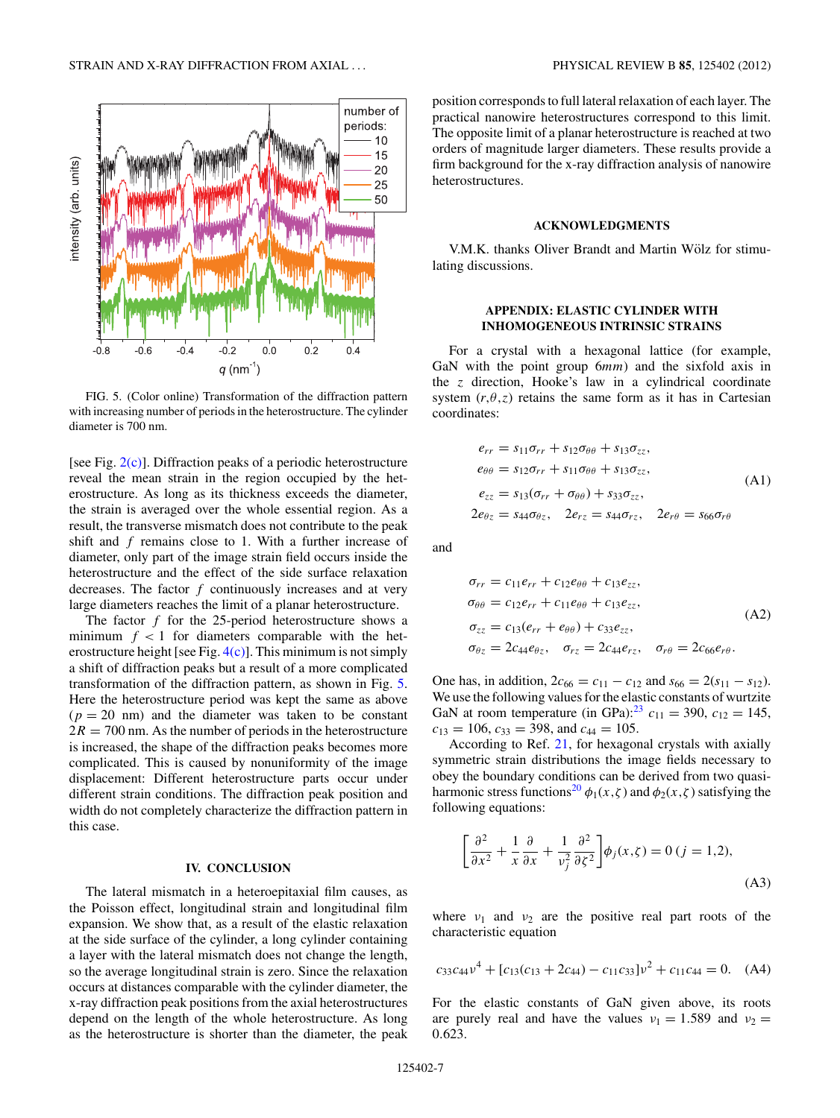<span id="page-6-0"></span>

FIG. 5. (Color online) Transformation of the diffraction pattern with increasing number of periods in the heterostructure. The cylinder diameter is 700 nm.

[see Fig.  $2(c)$ ]. Diffraction peaks of a periodic heterostructure reveal the mean strain in the region occupied by the heterostructure. As long as its thickness exceeds the diameter, the strain is averaged over the whole essential region. As a result, the transverse mismatch does not contribute to the peak shift and *f* remains close to 1. With a further increase of diameter, only part of the image strain field occurs inside the heterostructure and the effect of the side surface relaxation decreases. The factor *f* continuously increases and at very large diameters reaches the limit of a planar heterostructure.

The factor  $f$  for the 25-period heterostructure shows a minimum  $f < 1$  for diameters comparable with the heterostructure height [see Fig.  $4(c)$ ]. This minimum is not simply a shift of diffraction peaks but a result of a more complicated transformation of the diffraction pattern, as shown in Fig. 5. Here the heterostructure period was kept the same as above  $(p = 20 \text{ nm})$  and the diameter was taken to be constant  $2R = 700$  nm. As the number of periods in the heterostructure is increased, the shape of the diffraction peaks becomes more complicated. This is caused by nonuniformity of the image displacement: Different heterostructure parts occur under different strain conditions. The diffraction peak position and width do not completely characterize the diffraction pattern in this case.

### **IV. CONCLUSION**

The lateral mismatch in a heteroepitaxial film causes, as the Poisson effect, longitudinal strain and longitudinal film expansion. We show that, as a result of the elastic relaxation at the side surface of the cylinder, a long cylinder containing a layer with the lateral mismatch does not change the length, so the average longitudinal strain is zero. Since the relaxation occurs at distances comparable with the cylinder diameter, the x-ray diffraction peak positions from the axial heterostructures depend on the length of the whole heterostructure. As long as the heterostructure is shorter than the diameter, the peak position corresponds to full lateral relaxation of each layer. The practical nanowire heterostructures correspond to this limit. The opposite limit of a planar heterostructure is reached at two orders of magnitude larger diameters. These results provide a firm background for the x-ray diffraction analysis of nanowire heterostructures.

#### **ACKNOWLEDGMENTS**

V.M.K. thanks Oliver Brandt and Martin Wölz for stimulating discussions.

# **APPENDIX: ELASTIC CYLINDER WITH INHOMOGENEOUS INTRINSIC STRAINS**

For a crystal with a hexagonal lattice (for example, GaN with the point group 6*mm*) and the sixfold axis in the *z* direction, Hooke's law in a cylindrical coordinate system  $(r, \theta, z)$  retains the same form as it has in Cartesian coordinates:

$$
e_{rr} = s_{11}\sigma_{rr} + s_{12}\sigma_{\theta\theta} + s_{13}\sigma_{zz},
$$
  
\n
$$
e_{\theta\theta} = s_{12}\sigma_{rr} + s_{11}\sigma_{\theta\theta} + s_{13}\sigma_{zz},
$$
  
\n
$$
e_{zz} = s_{13}(\sigma_{rr} + \sigma_{\theta\theta}) + s_{33}\sigma_{zz},
$$
  
\n
$$
2e_{\theta z} = s_{44}\sigma_{\theta z}, \quad 2e_{rz} = s_{44}\sigma_{rz}, \quad 2e_{r\theta} = s_{66}\sigma_{r\theta}
$$
 (A1)

and

$$
\sigma_{rr} = c_{11}e_{rr} + c_{12}e_{\theta\theta} + c_{13}e_{zz}, \n\sigma_{\theta\theta} = c_{12}e_{rr} + c_{11}e_{\theta\theta} + c_{13}e_{zz}, \n\sigma_{zz} = c_{13}(e_{rr} + e_{\theta\theta}) + c_{33}e_{zz}, \n\sigma_{\theta z} = 2c_{44}e_{\theta z}, \quad \sigma_{rz} = 2c_{44}e_{rz}, \quad \sigma_{r\theta} = 2c_{66}e_{r\theta}.
$$
\n(A2)

One has, in addition,  $2c_{66} = c_{11} - c_{12}$  and  $s_{66} = 2(s_{11} - s_{12})$ . We use the following values for the elastic constants of wurtzite GaN at room temperature (in GPa):<sup>23</sup>  $c_{11} = 390, c_{12} = 145,$  $c_{13} = 106$ ,  $c_{33} = 398$ , and  $c_{44} = 105$ .

According to Ref. [21,](#page-8-0) for hexagonal crystals with axially symmetric strain distributions the image fields necessary to obey the boundary conditions can be derived from two quasiharmonic stress functions<sup>20</sup>  $\phi_1(x,\zeta)$  and  $\phi_2(x,\zeta)$  satisfying the following equations:

$$
\left[\frac{\partial^2}{\partial x^2} + \frac{1}{x} \frac{\partial}{\partial x} + \frac{1}{v_j^2} \frac{\partial^2}{\partial \zeta^2}\right] \phi_j(x, \zeta) = 0 \ (j = 1, 2),\tag{A3}
$$

where  $v_1$  and  $v_2$  are the positive real part roots of the characteristic equation

$$
c_{33}c_{44}v^4 + [c_{13}(c_{13} + 2c_{44}) - c_{11}c_{33}]v^2 + c_{11}c_{44} = 0. \quad (A4)
$$

For the elastic constants of GaN given above, its roots are purely real and have the values  $v_1 = 1.589$  and  $v_2 =$ 0*.*623.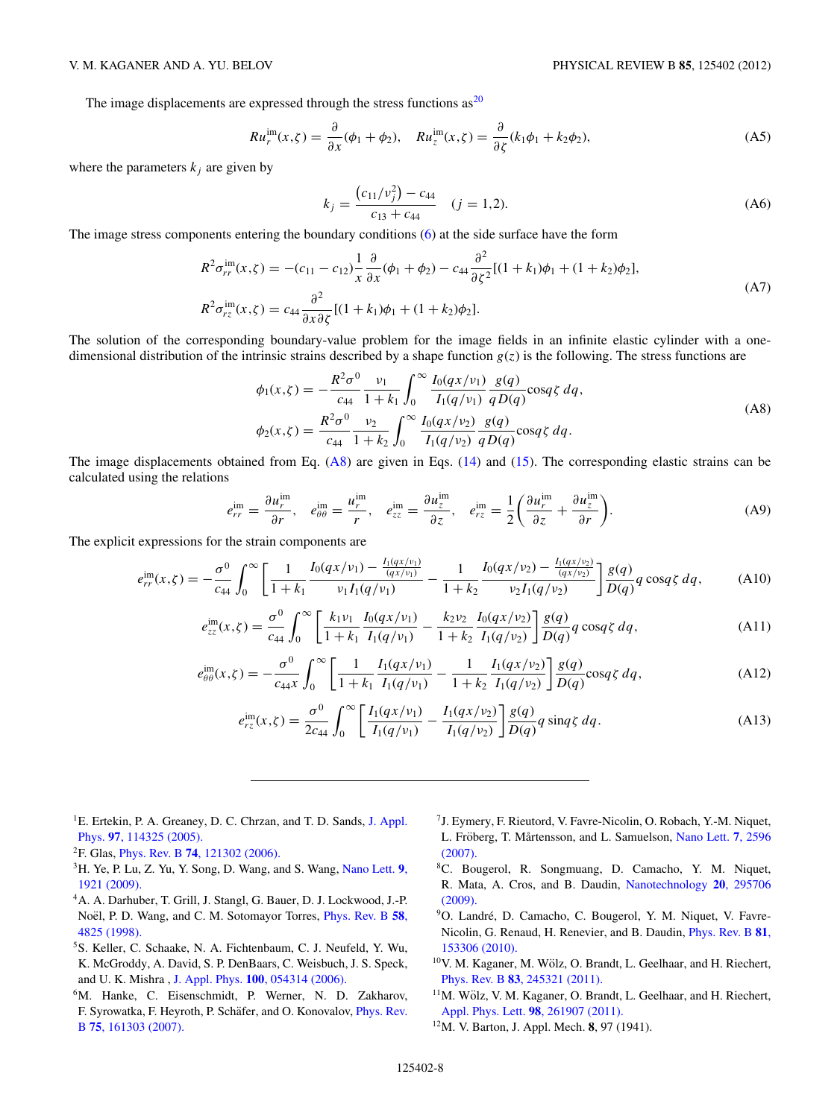<span id="page-7-0"></span>The image displacements are expressed through the stress functions  $as^{20}$  $as^{20}$  $as^{20}$ 

$$
Ru_r^{\text{im}}(x,\zeta) = \frac{\partial}{\partial x}(\phi_1 + \phi_2), \quad Ru_z^{\text{im}}(x,\zeta) = \frac{\partial}{\partial \zeta}(k_1\phi_1 + k_2\phi_2),\tag{A5}
$$

where the parameters  $k_i$  are given by

$$
k_j = \frac{(c_{11}/v_j^2) - c_{44}}{c_{13} + c_{44}} \quad (j = 1, 2). \tag{A6}
$$

The image stress components entering the boundary conditions [\(6\)](#page-1-0) at the side surface have the form

$$
R^{2} \sigma_{rr}^{\text{im}}(x,\zeta) = -(c_{11} - c_{12}) \frac{1}{x} \frac{\partial}{\partial x} (\phi_{1} + \phi_{2}) - c_{44} \frac{\partial^{2}}{\partial \zeta^{2}} [(1 + k_{1})\phi_{1} + (1 + k_{2})\phi_{2}],
$$
  
\n
$$
R^{2} \sigma_{rz}^{\text{im}}(x,\zeta) = c_{44} \frac{\partial^{2}}{\partial x \partial \zeta} [(1 + k_{1})\phi_{1} + (1 + k_{2})\phi_{2}].
$$
\n(A7)

The solution of the corresponding boundary-value problem for the image fields in an infinite elastic cylinder with a onedimensional distribution of the intrinsic strains described by a shape function *g*(*z*) is the following. The stress functions are

$$
\phi_1(x,\zeta) = -\frac{R^2 \sigma^0}{c_{44}} \frac{\nu_1}{1+k_1} \int_0^\infty \frac{I_0(qx/\nu_1)}{I_1(q/\nu_1)} \frac{g(q)}{qD(q)} \cos q\zeta \, dq,
$$
\n
$$
\phi_2(x,\zeta) = \frac{R^2 \sigma^0}{c_{44}} \frac{\nu_2}{1+k_2} \int_0^\infty \frac{I_0(qx/\nu_2)}{I_1(q/\nu_2)} \frac{g(q)}{qD(q)} \cos q\zeta \, dq.
$$
\n(A8)

The image displacements obtained from Eq. (A8) are given in Eqs. [\(14\)](#page-2-0) and [\(15\)](#page-2-0). The corresponding elastic strains can be calculated using the relations

$$
e_{rr}^{\text{im}} = \frac{\partial u_r^{\text{im}}}{\partial r}, \quad e_{\theta\theta}^{\text{im}} = \frac{u_r^{\text{im}}}{r}, \quad e_{zz}^{\text{im}} = \frac{\partial u_z^{\text{im}}}{\partial z}, \quad e_{rz}^{\text{im}} = \frac{1}{2} \left( \frac{\partial u_r^{\text{im}}}{\partial z} + \frac{\partial u_z^{\text{im}}}{\partial r} \right). \tag{A9}
$$

The explicit expressions for the strain components are

$$
e_{rr}^{\text{im}}(x,\zeta) = -\frac{\sigma^0}{c_{44}} \int_0^\infty \left[ \frac{1}{1+k_1} \frac{I_0(qx/v_1) - \frac{I_1(qx/v_1)}{(qx/v_1)}}{v_1 I_1(q/v_1)} - \frac{1}{1+k_2} \frac{I_0(qx/v_2) - \frac{I_1(qx/v_2)}{(qx/v_2)}}{v_2 I_1(q/v_2)} \right] \frac{g(q)}{D(q)} q \cos q \zeta \, dq, \tag{A10}
$$

$$
e_{zz}^{\text{im}}(x,\zeta) = \frac{\sigma^0}{c_{44}} \int_0^\infty \left[ \frac{k_1 v_1}{1 + k_1} \frac{I_0(qx/v_1)}{I_1(q/v_1)} - \frac{k_2 v_2}{1 + k_2} \frac{I_0(qx/v_2)}{I_1(q/v_2)} \right] \frac{g(q)}{D(q)} q \cos q \zeta \, dq, \tag{A11}
$$

$$
e_{\theta\theta}^{\text{im}}(x,\zeta) = -\frac{\sigma^0}{c_{44}x} \int_0^\infty \left[ \frac{1}{1+k_1} \frac{I_1(qx/\nu_1)}{I_1(q/\nu_1)} - \frac{1}{1+k_2} \frac{I_1(qx/\nu_2)}{I_1(q/\nu_2)} \right] \frac{g(q)}{D(q)} \cos q\zeta \, dq, \tag{A12}
$$

$$
e_{rz}^{\text{im}}(x,\zeta) = \frac{\sigma^0}{2c_{44}} \int_0^\infty \left[ \frac{I_1(qx/v_1)}{I_1(q/v_1)} - \frac{I_1(qx/v_2)}{I_1(q/v_2)} \right] \frac{g(q)}{D(q)} q \sin q \zeta \, dq. \tag{A13}
$$

- <sup>1</sup>E. Ertekin, P. A. Greaney, D. C. Chrzan, and T. D. Sands, [J. Appl.](http://dx.doi.org/10.1063/1.1903106) Phys. **97**[, 114325 \(2005\).](http://dx.doi.org/10.1063/1.1903106)
- 2F. Glas, Phys. Rev. B **74**[, 121302 \(2006\).](http://dx.doi.org/10.1103/PhysRevB.74.121302)
- 3H. Ye, P. Lu, Z. Yu, Y. Song, D. Wang, and S. Wang, [Nano Lett.](http://dx.doi.org/10.1021/nl900055x) **9**, [1921 \(2009\).](http://dx.doi.org/10.1021/nl900055x)
- 4A. A. Darhuber, T. Grill, J. Stangl, G. Bauer, D. J. Lockwood, J.-P. Noël, P. D. Wang, and C. M. Sotomayor Torres, *[Phys. Rev. B](http://dx.doi.org/10.1103/PhysRevB.58.4825)* 58, [4825 \(1998\).](http://dx.doi.org/10.1103/PhysRevB.58.4825)
- 5S. Keller, C. Schaake, N. A. Fichtenbaum, C. J. Neufeld, Y. Wu, K. McGroddy, A. David, S. P. DenBaars, C. Weisbuch, J. S. Speck, and U. K. Mishra , J. Appl. Phys. **100**[, 054314 \(2006\).](http://dx.doi.org/10.1063/1.2234812)
- 6M. Hanke, C. Eisenschmidt, P. Werner, N. D. Zakharov, F. Syrowatka, F. Heyroth, P. Schafer, and O. Konovalov, *[Phys. Rev.](http://dx.doi.org/10.1103/PhysRevB.75.161303)* B **75**[, 161303 \(2007\).](http://dx.doi.org/10.1103/PhysRevB.75.161303)
- 7J. Eymery, F. Rieutord, V. Favre-Nicolin, O. Robach, Y.-M. Niquet, L. Fröberg, T. Mårtensson, and L. Samuelson, [Nano Lett.](http://dx.doi.org/10.1021/nl070888q) 7, 2596 [\(2007\).](http://dx.doi.org/10.1021/nl070888q)
- 8C. Bougerol, R. Songmuang, D. Camacho, Y. M. Niquet, R. Mata, A. Cros, and B. Daudin, [Nanotechnology](http://dx.doi.org/10.1088/0957-4484/20/29/295706) **20**, 295706 [\(2009\).](http://dx.doi.org/10.1088/0957-4484/20/29/295706)
- <sup>9</sup>O. Landré, D. Camacho, C. Bougerol, Y. M. Niquet, V. Favre-Nicolin, G. Renaud, H. Renevier, and B. Daudin, [Phys. Rev. B](http://dx.doi.org/10.1103/PhysRevB.81.153306) **81**, [153306 \(2010\).](http://dx.doi.org/10.1103/PhysRevB.81.153306)
- $10V$ . M. Kaganer, M. Wölz, O. Brandt, L. Geelhaar, and H. Riechert, Phys. Rev. B **83**[, 245321 \(2011\).](http://dx.doi.org/10.1103/PhysRevB.83.245321)
- $11$ M. Wölz, V. M. Kaganer, O. Brandt, L. Geelhaar, and H. Riechert, [Appl. Phys. Lett.](http://dx.doi.org/10.1063/1.3604810) **98**, 261907 (2011).
- 12M. V. Barton, J. Appl. Mech. **8**, 97 (1941).